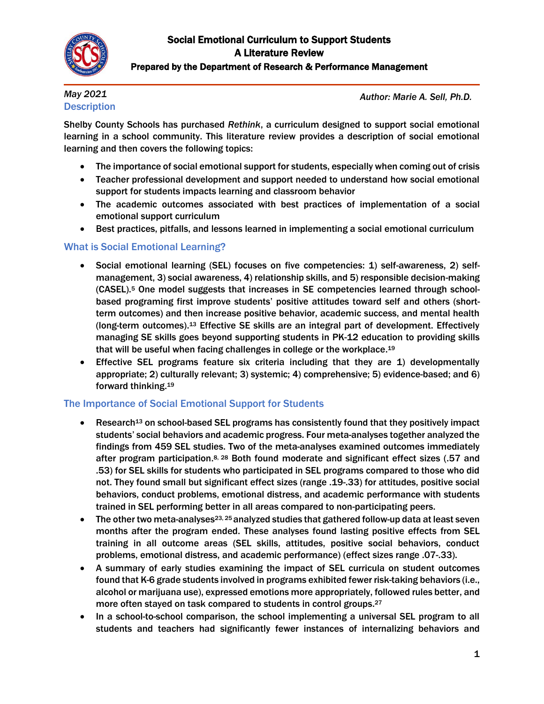

### Prepared by the Department of Research & Performance Management

### *May 2021* **Description**

*Author: Marie A. Sell, Ph.D.*

Shelby County Schools has purchased *Rethink*, a curriculum designed to support social emotional learning in a school community. This literature review provides a description of social emotional learning and then covers the following topics:

- The importance of social emotional support for students, especially when coming out of crisis
- Teacher professional development and support needed to understand how social emotional support for students impacts learning and classroom behavior
- The academic outcomes associated with best practices of implementation of a social emotional support curriculum
- Best practices, pitfalls, and lessons learned in implementing a social emotional curriculum

### What is Social Emotional Learning?

- Social emotional learning (SEL) focuses on five competencies: 1) self-awareness, 2) selfmanagement, 3) social awareness, 4) relationship skills, and 5) responsible decision-making (CASEL).<sup>5</sup> One model suggests that increases in SE competencies learned through schoolbased programing first improve students' positive attitudes toward self and others (shortterm outcomes) and then increase positive behavior, academic success, and mental health (long-term outcomes).<sup>13</sup> Effective SE skills are an integral part of development. Effectively managing SE skills goes beyond supporting students in PK-12 education to providing skills that will be useful when facing challenges in college or the workplace.<sup>19</sup>
- Effective SEL programs feature six criteria including that they are 1) developmentally appropriate; 2) culturally relevant; 3) systemic; 4) comprehensive; 5) evidence-based; and 6) forward thinking. 19

### The Importance of Social Emotional Support for Students

- Research<sup>13</sup> on school-based SEL programs has consistently found that they positively impact students' social behaviors and academic progress. Four meta-analyses together analyzed the findings from 459 SEL studies. Two of the meta-analyses examined outcomes immediately after program participation.<sup>8, 28</sup> Both found moderate and significant effect sizes (.57 and .53) for SEL skills for students who participated in SEL programs compared to those who did not. They found small but significant effect sizes (range .19-.33) for attitudes, positive social behaviors, conduct problems, emotional distress, and academic performance with students trained in SEL performing better in all areas compared to non-participating peers.
- The other two meta-analyses<sup>23, 25</sup> analyzed studies that gathered follow-up data at least seven months after the program ended. These analyses found lasting positive effects from SEL training in all outcome areas (SEL skills, attitudes, positive social behaviors, conduct problems, emotional distress, and academic performance) (effect sizes range .07-.33).
- A summary of early studies examining the impact of SEL curricula on student outcomes found that K-6 grade students involved in programs exhibited fewer risk-taking behaviors (i.e., alcohol or marijuana use), expressed emotions more appropriately, followed rules better, and more often stayed on task compared to students in control groups.<sup>27</sup>
- In a school-to-school comparison, the school implementing a universal SEL program to all students and teachers had significantly fewer instances of internalizing behaviors and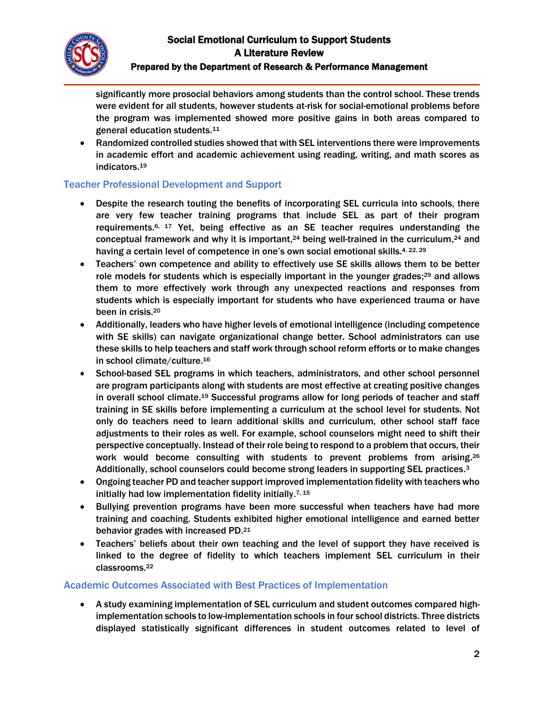

#### Prepared by the Department of Research & Performance Management

significantly more prosocial behaviors among students than the control school. These trends were evident for all students, however students at-risk for social-emotional problems before the program was implemented showed more positive gains in both areas compared to general education students.<sup>11</sup>

 Randomized controlled studies showed that with SEL interventions there were improvements in academic effort and academic achievement using reading, writing, and math scores as indicators. 19

### Teacher Professional Development and Support

- Despite the research touting the benefits of incorporating SEL curricula into schools, there are very few teacher training programs that include SEL as part of their program requirements. 6, 17 Yet, being effective as an SE teacher requires understanding the conceptual framework and why it is important,<sup>24</sup> being well-trained in the curriculum,<sup>24</sup> and having a certain level of competence in one's own social emotional skills.<sup>4, 22, 29</sup>
- Teachers' own competence and ability to effectively use SE skills allows them to be better role models for students which is especially important in the younger grades;<sup>29</sup> and allows them to more effectively work through any unexpected reactions and responses from students which is especially important for students who have experienced trauma or have been in crisis. 20
- Additionally, leaders who have higher levels of emotional intelligence (including competence with SE skills) can navigate organizational change better. School administrators can use these skills to help teachers and staff work through school reform efforts or to make changes in school climate/culture. 16
- School-based SEL programs in which teachers, administrators, and other school personnel are program participants along with students are most effective at creating positive changes in overall school climate.<sup>19</sup> Successful programs allow for long periods of teacher and staff training in SE skills before implementing a curriculum at the school level for students. Not only do teachers need to learn additional skills and curriculum, other school staff face adjustments to their roles as well. For example, school counselors might need to shift their perspective conceptually. Instead of their role being to respond to a problem that occurs, their work would become consulting with students to prevent problems from arising.<sup>26</sup> Additionally, school counselors could become strong leaders in supporting SEL practices.<sup>3</sup>
- Ongoing teacher PD and teacher support improved implementation fidelity with teachers who initially had low implementation fidelity initially.<sup>7, 15</sup>
- Bullying prevention programs have been more successful when teachers have had more training and coaching. Students exhibited higher emotional intelligence and earned better behavior grades with increased PD.<sup>21</sup>
- Teachers' beliefs about their own teaching and the level of support they have received is linked to the degree of fidelity to which teachers implement SEL curriculum in their classrooms. 22

### Academic Outcomes Associated with Best Practices of Implementation

 A study examining implementation of SEL curriculum and student outcomes compared highimplementation schools to low-implementation schools in four school districts. Three districts displayed statistically significant differences in student outcomes related to level of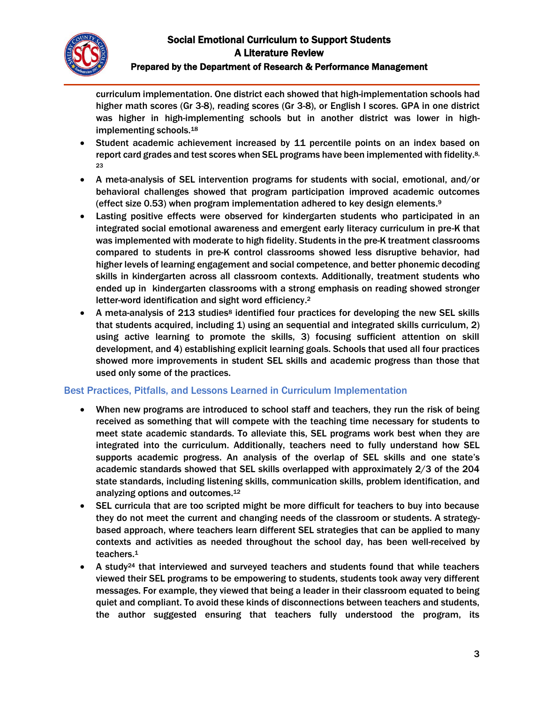

#### Prepared by the Department of Research & Performance Management

curriculum implementation. One district each showed that high-implementation schools had higher math scores (Gr 3-8), reading scores (Gr 3-8), or English I scores. GPA in one district was higher in high-implementing schools but in another district was lower in highimplementing schools.<sup>18</sup>

- Student academic achievement increased by 11 percentile points on an index based on report card grades and test scores when SEL programs have been implemented with fidelity.<sup>8,</sup> 23
- A meta-analysis of SEL intervention programs for students with social, emotional, and/or behavioral challenges showed that program participation improved academic outcomes (effect size 0.53) when program implementation adhered to key design elements. 9
- Lasting positive effects were observed for kindergarten students who participated in an integrated social emotional awareness and emergent early literacy curriculum in pre-K that was implemented with moderate to high fidelity. Students in the pre-K treatment classrooms compared to students in pre-K control classrooms showed less disruptive behavior, had higher levels of learning engagement and social competence, and better phonemic decoding skills in kindergarten across all classroom contexts. Additionally, treatment students who ended up in kindergarten classrooms with a strong emphasis on reading showed stronger letter-word identification and sight word efficiency.<sup>2</sup>
- A meta-analysis of 213 studies<sup>8</sup> identified four practices for developing the new SEL skills that students acquired, including 1) using an sequential and integrated skills curriculum, 2) using active learning to promote the skills, 3) focusing sufficient attention on skill development, and 4) establishing explicit learning goals. Schools that used all four practices showed more improvements in student SEL skills and academic progress than those that used only some of the practices.

### Best Practices, Pitfalls, and Lessons Learned in Curriculum Implementation

- When new programs are introduced to school staff and teachers, they run the risk of being received as something that will compete with the teaching time necessary for students to meet state academic standards. To alleviate this, SEL programs work best when they are integrated into the curriculum. Additionally, teachers need to fully understand how SEL supports academic progress. An analysis of the overlap of SEL skills and one state's academic standards showed that SEL skills overlapped with approximately 2/3 of the 204 state standards, including listening skills, communication skills, problem identification, and analyzing options and outcomes. 12
- SEL curricula that are too scripted might be more difficult for teachers to buy into because they do not meet the current and changing needs of the classroom or students. A strategybased approach, where teachers learn different SEL strategies that can be applied to many contexts and activities as needed throughout the school day, has been well-received by teachers. 1
- A study<sup>24</sup> that interviewed and surveyed teachers and students found that while teachers viewed their SEL programs to be empowering to students, students took away very different messages. For example, they viewed that being a leader in their classroom equated to being quiet and compliant. To avoid these kinds of disconnections between teachers and students, the author suggested ensuring that teachers fully understood the program, its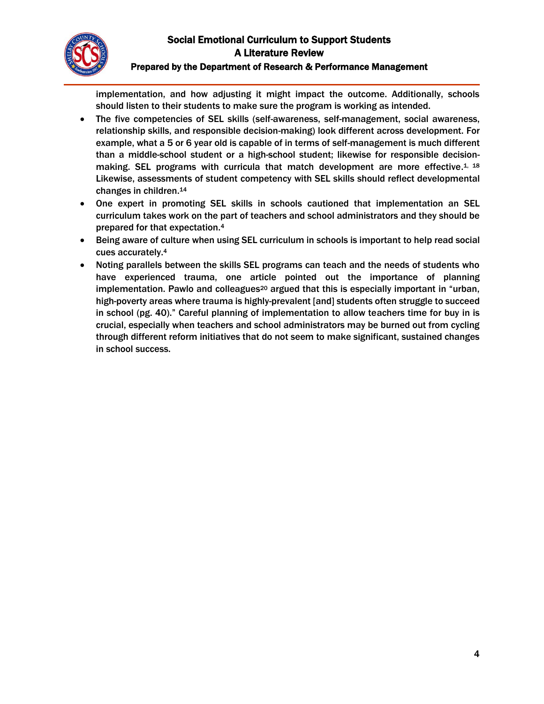

#### Prepared by the Department of Research & Performance Management

implementation, and how adjusting it might impact the outcome. Additionally, schools should listen to their students to make sure the program is working as intended.

- The five competencies of SEL skills (self-awareness, self-management, social awareness, relationship skills, and responsible decision-making) look different across development. For example, what a 5 or 6 year old is capable of in terms of self-management is much different than a middle-school student or a high-school student; likewise for responsible decisionmaking. SEL programs with curricula that match development are more effective.<sup>1, 18</sup> Likewise, assessments of student competency with SEL skills should reflect developmental changes in children. 14
- One expert in promoting SEL skills in schools cautioned that implementation an SEL curriculum takes work on the part of teachers and school administrators and they should be prepared for that expectation.<sup>4</sup>
- Being aware of culture when using SEL curriculum in schools is important to help read social cues accurately. 4
- Noting parallels between the skills SEL programs can teach and the needs of students who have experienced trauma, one article pointed out the importance of planning implementation. Pawlo and colleagues<sup>20</sup> argued that this is especially important in "urban, high-poverty areas where trauma is highly-prevalent [and] students often struggle to succeed in school (pg. 40)." Careful planning of implementation to allow teachers time for buy in is crucial, especially when teachers and school administrators may be burned out from cycling through different reform initiatives that do not seem to make significant, sustained changes in school success.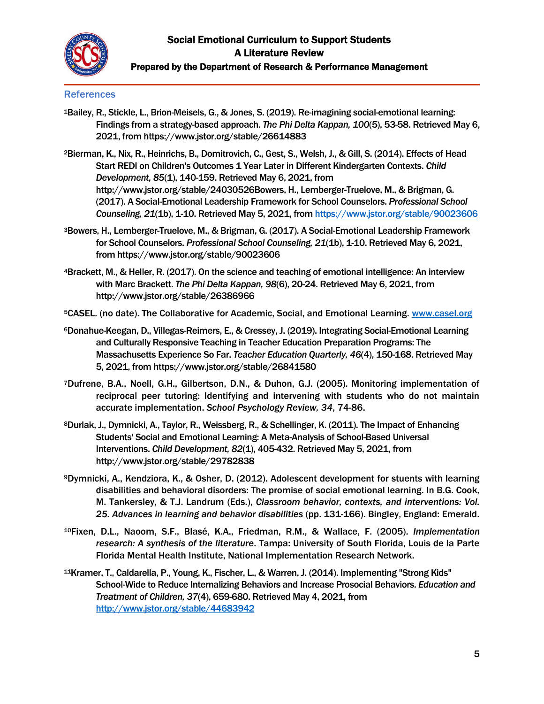

# Social Emotional Curriculum to Support Students A Literature Review Prepared by the Department of Research & Performance Management

### **References**

- <sup>1</sup>Bailey, R., Stickle, L., Brion-Meisels, G., & Jones, S. (2019). Re-imagining social-emotional learning: Findings from a strategy-based approach. *The Phi Delta Kappan, 100*(5), 53-58. Retrieved May 6, 2021, from https://www.jstor.org/stable/26614883
- <sup>2</sup>Bierman, K., Nix, R., Heinrichs, B., Domitrovich, C., Gest, S., Welsh, J., & Gill, S. (2014). Effects of Head Start REDI on Children's Outcomes 1 Year Later in Different Kindergarten Contexts. *Child Development, 85*(1), 140-159. Retrieved May 6, 2021, from http://www.jstor.org/stable/24030526Bowers, H., Lemberger-Truelove, M., & Brigman, G. (2017). A Social-Emotional Leadership Framework for School Counselors. *Professional School Counseling, 21*(1b), 1-10. Retrieved May 5, 2021, fro[m https://www.jstor.org/stable/90023606](https://www.jstor.org/stable/90023606)
- <sup>3</sup>Bowers, H., Lemberger-Truelove, M., & Brigman, G. (2017). A Social-Emotional Leadership Framework for School Counselors. *Professional School Counseling, 21*(1b), 1-10. Retrieved May 6, 2021, from https://www.jstor.org/stable/90023606
- <sup>4</sup>Brackett, M., & Heller, R. (2017). On the science and teaching of emotional intelligence: An interview with Marc Brackett. *The Phi Delta Kappan, 98*(6), 20-24. Retrieved May 6, 2021, from http://www.jstor.org/stable/26386966
- <sup>5</sup>CASEL. (no date). The Collaborative for Academic, Social, and Emotional Learning. [www.casel.org](http://www.casel.org/)
- <sup>6</sup>Donahue-Keegan, D., Villegas-Reimers, E., & Cressey, J. (2019). Integrating Social-Emotional Learning and Culturally Responsive Teaching in Teacher Education Preparation Programs: The Massachusetts Experience So Far. *Teacher Education Quarterly, 46*(4), 150-168. Retrieved May 5, 2021, from https://www.jstor.org/stable/26841580
- <sup>7</sup>Dufrene, B.A., Noell, G.H., Gilbertson, D.N., & Duhon, G.J. (2005). Monitoring implementation of reciprocal peer tutoring: Identifying and intervening with students who do not maintain accurate implementation. *School Psychology Review, 34*, 74-86.
- <sup>8</sup>Durlak, J., Dymnicki, A., Taylor, R., Weissberg, R., & Schellinger, K. (2011). The Impact of Enhancing Students' Social and Emotional Learning: A Meta-Analysis of School-Based Universal Interventions. *Child Development, 82*(1), 405-432. Retrieved May 5, 2021, from http://www.jstor.org/stable/29782838
- <sup>9</sup>Dymnicki, A., Kendziora, K., & Osher, D. (2012). Adolescent development for stuents with learning disabilities and behavioral disorders: The promise of social emotional learning. In B.G. Cook, M. Tankersley, & T.J. Landrum (Eds.), *Classroom behavior, contexts, and interventions: Vol. 25. Advances in learning and behavior disabilities* (pp. 131-166). Bingley, England: Emerald.
- <sup>10</sup>Fixen, D.L., Naoom, S.F., Blasé, K.A., Friedman, R.M., & Wallace, F. (2005). *Implementation research: A synthesis of the literature*. Tampa: University of South Florida, Louis de la Parte Florida Mental Health Institute, National Implementation Research Network.
- <sup>11</sup>Kramer, T., Caldarella, P., Young, K., Fischer, L., & Warren, J. (2014). Implementing "Strong Kids" School-Wide to Reduce Internalizing Behaviors and Increase Prosocial Behaviors. *Education and Treatment of Children, 37*(4), 659-680. Retrieved May 4, 2021, from <http://www.jstor.org/stable/44683942>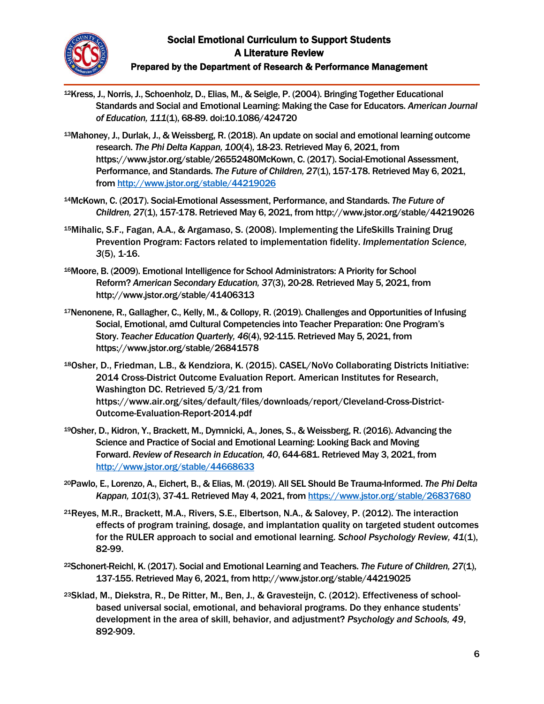

# Social Emotional Curriculum to Support Students A Literature Review Prepared by the Department of Research & Performance Management

- <sup>12</sup>Kress, J., Norris, J., Schoenholz, D., Elias, M., & Seigle, P. (2004). Bringing Together Educational Standards and Social and Emotional Learning: Making the Case for Educators. *American Journal of Education, 111*(1), 68-89. doi:10.1086/424720
- <sup>13</sup>Mahoney, J., Durlak, J., & Weissberg, R. (2018). An update on social and emotional learning outcome research. *The Phi Delta Kappan, 100*(4), 18-23. Retrieved May 6, 2021, from https://www.jstor.org/stable/26552480McKown, C. (2017). Social-Emotional Assessment, Performance, and Standards. *The Future of Children, 27(1)*, 157-178. Retrieved May 6, 2021, from<http://www.jstor.org/stable/44219026>
- <sup>14</sup>McKown, C. (2017). Social-Emotional Assessment, Performance, and Standards. *The Future of Children, 27*(1), 157-178. Retrieved May 6, 2021, from http://www.jstor.org/stable/44219026
- <sup>15</sup>Mihalic, S.F., Fagan, A.A., & Argamaso, S. (2008). Implementing the LifeSkills Training Drug Prevention Program: Factors related to implementation fidelity. *Implementation Science, 3*(5), 1-16.
- <sup>16</sup>Moore, B. (2009). Emotional Intelligence for School Administrators: A Priority for School Reform? *American Secondary Education, 37*(3), 20-28. Retrieved May 5, 2021, from http://www.jstor.org/stable/41406313
- <sup>17</sup>Nenonene, R., Gallagher, C., Kelly, M., & Collopy, R. (2019). Challenges and Opportunities of Infusing Social, Emotional, amd Cultural Competencies into Teacher Preparation: One Program's Story. *Teacher Education Quarterly, 46*(4), 92-115. Retrieved May 5, 2021, from https://www.jstor.org/stable/26841578
- <sup>18</sup>Osher, D., Friedman, L.B., & Kendziora, K. (2015). CASEL/NoVo Collaborating Districts Initiative: 2014 Cross-District Outcome Evaluation Report. American Institutes for Research, Washington DC. Retrieved 5/3/21 from https://www.air.org/sites/default/files/downloads/report/Cleveland-Cross-District-Outcome-Evaluation-Report-2014.pdf
- <sup>19</sup>Osher, D., Kidron, Y., Brackett, M., Dymnicki, A., Jones, S., & Weissberg, R. (2016). Advancing the Science and Practice of Social and Emotional Learning: Looking Back and Moving Forward. *Review of Research in Education, 40*, 644-681. Retrieved May 3, 2021, from <http://www.jstor.org/stable/44668633>
- <sup>20</sup>Pawlo, E., Lorenzo, A., Eichert, B., & Elias, M. (2019). All SEL Should Be Trauma-Informed. *The Phi Delta Kappan, 101*(3), 37-41. Retrieved May 4, 2021, fro[m https://www.jstor.org/stable/26837680](https://www.jstor.org/stable/26837680)
- <sup>21</sup>Reyes, M.R., Brackett, M.A., Rivers, S.E., Elbertson, N.A., & Salovey, P. (2012). The interaction effects of program training, dosage, and implantation quality on targeted student outcomes for the RULER approach to social and emotional learning. *School Psychology Review, 41*(1), 82-99.
- <sup>22</sup>Schonert-Reichl, K. (2017). Social and Emotional Learning and Teachers. *The Future of Children, 27*(1), 137-155. Retrieved May 6, 2021, from http://www.jstor.org/stable/44219025
- 23Sklad, M., Diekstra, R., De Ritter, M., Ben, J., & Gravesteijn, C. (2012). Effectiveness of schoolbased universal social, emotional, and behavioral programs. Do they enhance students' development in the area of skill, behavior, and adjustment? *Psychology and Schools, 49*, 892-909.